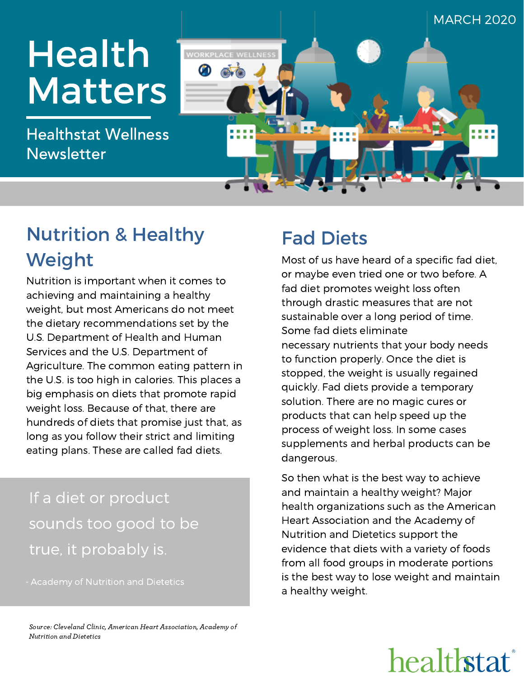

### Nutrition & Healthy Weight

Nutrition is important when it comes to achieving and maintaining a healthy weight, but most Americans do not meet the dietary recommendations set by the U.S. Department of Health and Human Services and the U.S. Department of Agriculture. The common eating pattern in the U.S. is too high in calories. This places a big emphasis on diets that promote rapid weight loss. Because of that, there are hundreds of diets that promise just that, as long as you follow their strict and limiting eating plans. These are called fad diets.

### If a diet or product sounds too good to be true, it probably is.

### Fad Diets

Most of us have heard of a specific fad diet, or maybe even tried one or two before. A fad diet promotes weight loss often through drastic measures that are not sustainable over a long period of time. Some fad diets eliminate necessary nutrients that your body needs to function properly. Once the diet is stopped, the weight is usually regained quickly. Fad diets provide a temporary solution. There are no magic cures or products that can help speed up the process of weight loss. In some cases supplements and herbal products can be dangerous.

So then what is the best way to achieve and maintain a healthy weight? Major health organizations such as the American Heart Association and the Academy of Nutrition and Dietetics support the evidence that diets with a variety of foods from all food groups in moderate portions is the best way to lose weight and maintain a healthy weight.

Source: Cleveland Clinic, American Heart Association, Academy of Nutrition and Dietetics

# healthstat